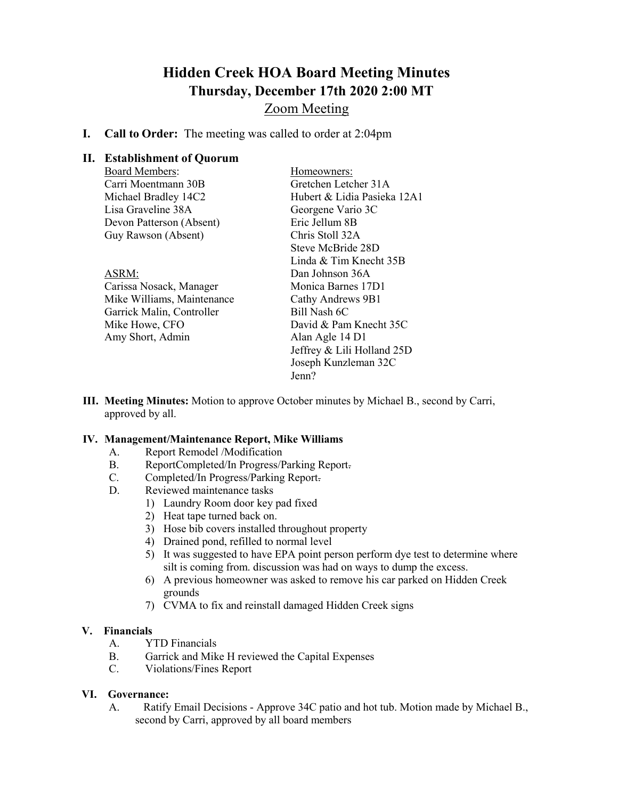## **Hidden Creek HOA Board Meeting Minutes Thursday, December 17th 2020 2:00 MT**

### Zoom Meeting

**I. Call to Order:** The meeting was called to order at 2:04pm

### **II. Establishment of Quorum**

| <b>Board Members:</b>      | Homeowners:                 |
|----------------------------|-----------------------------|
| Carri Moentmann 30B        | Gretchen Letcher 31A        |
| Michael Bradley 14C2       | Hubert & Lidia Pasieka 12A1 |
| Lisa Graveline 38A         | Georgene Vario 3C           |
| Devon Patterson (Absent)   | Eric Jellum 8B              |
| Guy Rawson (Absent)        | Chris Stoll 32A             |
|                            | Steve McBride 28D           |
|                            | Linda & Tim Knecht 35B      |
| ASRM:                      | Dan Johnson 36A             |
| Carissa Nosack, Manager    | Monica Barnes 17D1          |
| Mike Williams, Maintenance | Cathy Andrews 9B1           |
| Garrick Malin, Controller  | Bill Nash 6C                |
| Mike Howe, CFO             | David & Pam Knecht 35C      |
| Amy Short, Admin           | Alan Agle 14 D1             |
|                            | Jeffrey & Lili Holland 25D  |
|                            | Joseph Kunzleman 32C        |
|                            | Jenn?                       |

**III. Meeting Minutes:** Motion to approve October minutes by Michael B., second by Carri, approved by all.

### **IV. Management/Maintenance Report, Mike Williams**

- A. Report Remodel /Modification
- B. ReportCompleted/In Progress/Parking Report.
- C. Completed/In Progress/Parking Report.
- D. Reviewed maintenance tasks
	- 1) Laundry Room door key pad fixed
	- 2) Heat tape turned back on.
	- 3) Hose bib covers installed throughout property
	- 4) Drained pond, refilled to normal level
	- 5) It was suggested to have EPA point person perform dye test to determine where silt is coming from. discussion was had on ways to dump the excess.
	- 6) A previous homeowner was asked to remove his car parked on Hidden Creek grounds
	- 7) CVMA to fix and reinstall damaged Hidden Creek signs

# **V. Financials**

- YTD Financials
- B. Garrick and Mike H reviewed the Capital Expenses
- C. Violations/Fines Report

### **VI. Governance:**

A. Ratify Email Decisions - Approve 34C patio and hot tub. Motion made by Michael B., second by Carri, approved by all board members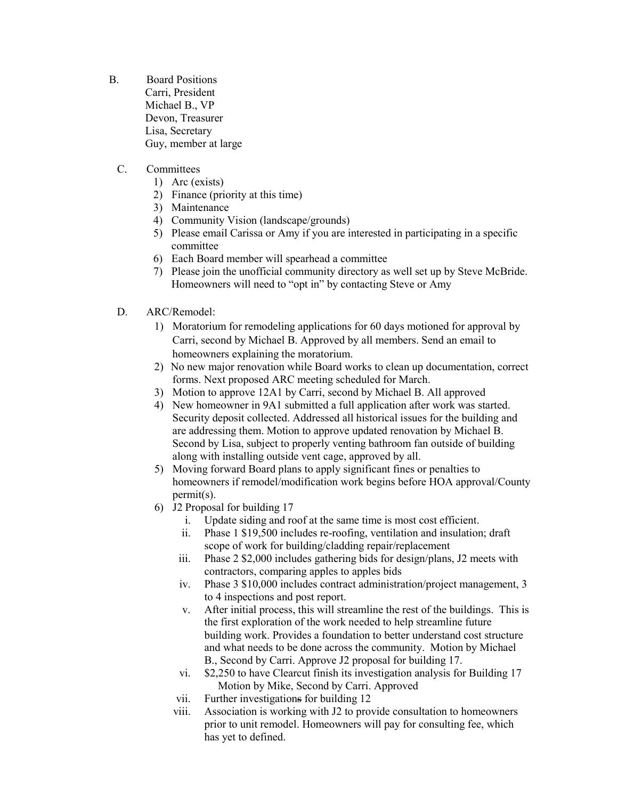- B. Board Positions Carri, President Michael B., VP Devon, Treasurer Lisa, Secretary Guy, member at large
	- C. Committees
		- 1) Arc (exists)
		- 2) Finance (priority at this time)
		- 3) Maintenance
		- 4) Community Vision (landscape/grounds)
		- 5) Please email Carissa or Amy if you are interested in participating in a specific committee
		- 6) Each Board member will spearhead a committee
		- 7) Please join the unofficial community directory as well set up by Steve McBride. Homeowners will need to "opt in" by contacting Steve or Amy
	- D. ARC/Remodel:
		- 1) Moratorium for remodeling applications for 60 days motioned for approval by Carri, second by Michael B. Approved by all members. Send an email to homeowners explaining the moratorium.
		- 2) No new major renovation while Board works to clean up documentation, correct forms. Next proposed ARC meeting scheduled for March.
		- 3) Motion to approve 12A1 by Carri, second by Michael B. All approved
		- 4) New homeowner in 9A1 submitted a full application after work was started. Security deposit collected. Addressed all historical issues for the building and are addressing them. Motion to approve updated renovation by Michael B. Second by Lisa, subject to properly venting bathroom fan outside of building along with installing outside vent cage, approved by all.
		- 5) Moving forward Board plans to apply significant fines or penalties to homeowners if remodel/modification work begins before HOA approval/County permit(s).
		- 6) J2 Proposal for building 17
			- i. Update siding and roof at the same time is most cost efficient.
			- ii. Phase 1 \$19,500 includes re-roofing, ventilation and insulation; draft scope of work for building/cladding repair/replacement
			- iii. Phase 2 \$2,000 includes gathering bids for design/plans, J2 meets with contractors, comparing apples to apples bids
			- iv. Phase 3 \$10,000 includes contract administration/project management, 3 to 4 inspections and post report.
			- v. After initial process, this will streamline the rest of the buildings. This is the first exploration of the work needed to help streamline future building work. Provides a foundation to better understand cost structure and what needs to be done across the community. Motion by Michael B., Second by Carri. Approve J2 proposal for building 17.
			- vi. \$2,250 to have Clearcut finish its investigation analysis for Building 17 Motion by Mike, Second by Carri. Approved
			- vii. Further investigations for building 12
			- viii. Association is working with J2 to provide consultation to homeowners prior to unit remodel. Homeowners will pay for consulting fee, which has yet to defined.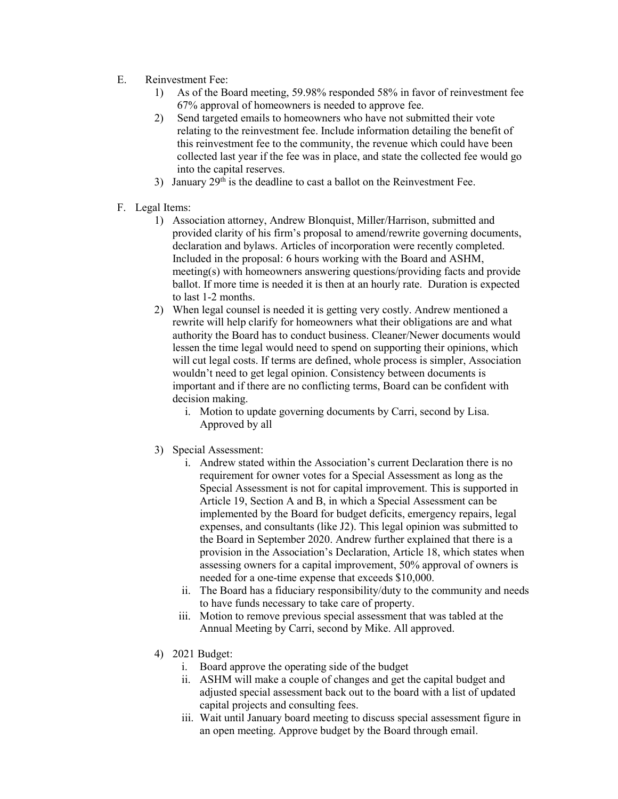- E. Reinvestment Fee:
	- 1) As of the Board meeting, 59.98% responded 58% in favor of reinvestment fee 67% approval of homeowners is needed to approve fee.
	- 2) Send targeted emails to homeowners who have not submitted their vote relating to the reinvestment fee. Include information detailing the benefit of this reinvestment fee to the community, the revenue which could have been collected last year if the fee was in place, and state the collected fee would go into the capital reserves.
	- 3) January  $29<sup>th</sup>$  is the deadline to cast a ballot on the Reinvestment Fee.
- F. Legal Items:
	- 1) Association attorney, Andrew Blonquist, Miller/Harrison, submitted and provided clarity of his firm's proposal to amend/rewrite governing documents, declaration and bylaws. Articles of incorporation were recently completed. Included in the proposal: 6 hours working with the Board and ASHM, meeting(s) with homeowners answering questions/providing facts and provide ballot. If more time is needed it is then at an hourly rate. Duration is expected to last 1-2 months.
	- 2) When legal counsel is needed it is getting very costly. Andrew mentioned a rewrite will help clarify for homeowners what their obligations are and what authority the Board has to conduct business. Cleaner/Newer documents would lessen the time legal would need to spend on supporting their opinions, which will cut legal costs. If terms are defined, whole process is simpler, Association wouldn't need to get legal opinion. Consistency between documents is important and if there are no conflicting terms, Board can be confident with decision making.
		- i. Motion to update governing documents by Carri, second by Lisa. Approved by all
	- 3) Special Assessment:
		- i. Andrew stated within the Association's current Declaration there is no requirement for owner votes for a Special Assessment as long as the Special Assessment is not for capital improvement. This is supported in Article 19, Section A and B, in which a Special Assessment can be implemented by the Board for budget deficits, emergency repairs, legal expenses, and consultants (like J2). This legal opinion was submitted to the Board in September 2020. Andrew further explained that there is a provision in the Association's Declaration, Article 18, which states when assessing owners for a capital improvement, 50% approval of owners is needed for a one-time expense that exceeds \$10,000.
		- ii. The Board has a fiduciary responsibility/duty to the community and needs to have funds necessary to take care of property.
		- iii. Motion to remove previous special assessment that was tabled at the Annual Meeting by Carri, second by Mike. All approved.
	- 4) 2021 Budget:
		- i. Board approve the operating side of the budget
		- ii. ASHM will make a couple of changes and get the capital budget and adjusted special assessment back out to the board with a list of updated capital projects and consulting fees.
		- iii. Wait until January board meeting to discuss special assessment figure in an open meeting. Approve budget by the Board through email.